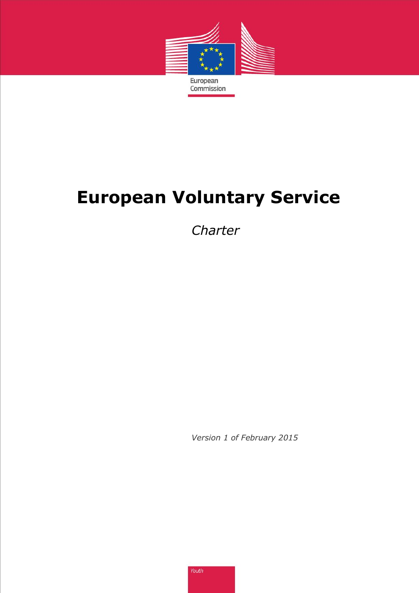

# **European Voluntary Service**

*Charter*

*Version 1 of February 2015*

Youth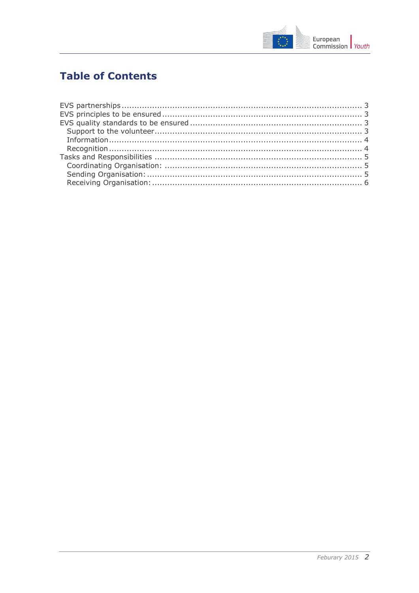

# **Table of Contents**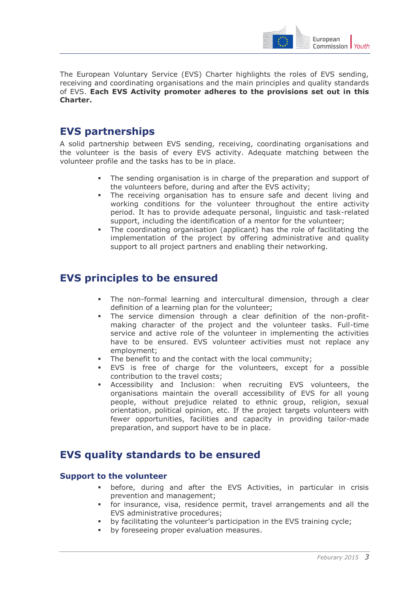

The European Voluntary Service (EVS) Charter highlights the roles of EVS sending, receiving and coordinating organisations and the main principles and quality standards of EVS. **Each EVS Activity promoter adheres to the provisions set out in this Charter.**

# <span id="page-2-0"></span>**EVS partnerships**

A solid partnership between EVS sending, receiving, coordinating organisations and the volunteer is the basis of every EVS activity. Adequate matching between the volunteer profile and the tasks has to be in place.

- The sending organisation is in charge of the preparation and support of the volunteers before, during and after the EVS activity;
- The receiving organisation has to ensure safe and decent living and working conditions for the volunteer throughout the entire activity period. It has to provide adequate personal, linguistic and task-related support, including the identification of a mentor for the volunteer;
- The coordinating organisation (applicant) has the role of facilitating the implementation of the project by offering administrative and quality support to all project partners and enabling their networking.

# <span id="page-2-1"></span>**EVS principles to be ensured**

- The non-formal learning and intercultural dimension, through a clear definition of a learning plan for the volunteer;
- The service dimension through a clear definition of the non-profitmaking character of the project and the volunteer tasks. Full-time service and active role of the volunteer in implementing the activities have to be ensured. EVS volunteer activities must not replace any employment;
- The benefit to and the contact with the local community;
- EVS is free of charge for the volunteers, except for a possible contribution to the travel costs;
- Accessibility and Inclusion: when recruiting EVS volunteers, the organisations maintain the overall accessibility of EVS for all young people, without prejudice related to ethnic group, religion, sexual orientation, political opinion, etc. If the project targets volunteers with fewer opportunities, facilities and capacity in providing tailor-made preparation, and support have to be in place.

# <span id="page-2-2"></span>**EVS quality standards to be ensured**

## <span id="page-2-3"></span>**Support to the volunteer**

- before, during and after the EVS Activities, in particular in crisis prevention and management;
- for insurance, visa, residence permit, travel arrangements and all the EVS administrative procedures;
- by facilitating the volunteer's participation in the EVS training cycle;
- **•** by foreseeing proper evaluation measures.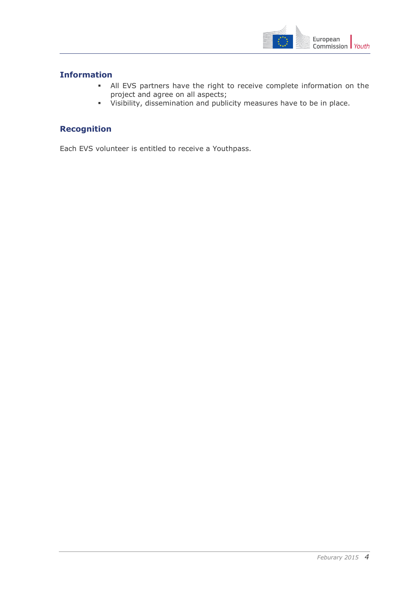

## <span id="page-3-0"></span>**Information**

- All EVS partners have the right to receive complete information on the project and agree on all aspects;
- Visibility, dissemination and publicity measures have to be in place.

## <span id="page-3-1"></span>**Recognition**

Each EVS volunteer is entitled to receive a Youthpass.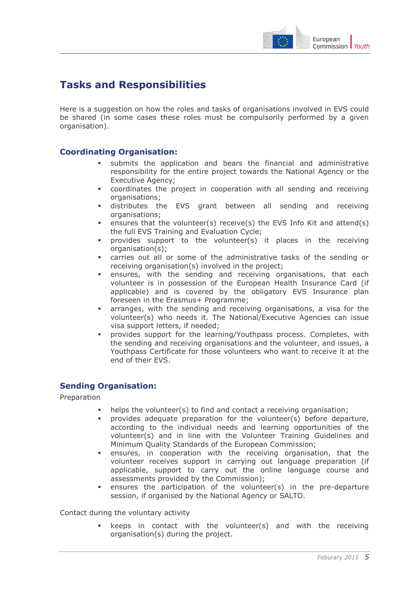

# <span id="page-4-0"></span>**Tasks and Responsibilities**

Here is a suggestion on how the roles and tasks of organisations involved in EVS could be shared (in some cases these roles must be compulsorily performed by a given organisation).

## <span id="page-4-1"></span>**Coordinating Organisation:**

- submits the application and bears the financial and administrative responsibility for the entire project towards the National Agency or the Executive Agency;
- coordinates the project in cooperation with all sending and receiving organisations;
- distributes the EVS grant between all sending and receiving organisations;
- **e** ensures that the volunteer(s) receive(s) the EVS Info Kit and attend(s) the full EVS Training and Evaluation Cycle;
- provides support to the volunteer(s) it places in the receiving organisation(s);
- carries out all or some of the administrative tasks of the sending or receiving organisation(s) involved in the project;
- ensures, with the sending and receiving organisations, that each volunteer is in possession of the European Health Insurance Card (if applicable) and is covered by the obligatory EVS Insurance plan foreseen in the Erasmus+ Programme;
- arranges, with the sending and receiving organisations, a visa for the volunteer(s) who needs it. The National/Executive Agencies can issue visa support letters, if needed;
- provides support for the learning/Youthpass process. Completes, with the sending and receiving organisations and the volunteer, and issues, a Youthpass Certificate for those volunteers who want to receive it at the end of their EVS.

### <span id="page-4-2"></span>**Sending Organisation:**

Preparation

- helps the volunteer(s) to find and contact a receiving organisation;
- provides adequate preparation for the volunteer(s) before departure, according to the individual needs and learning opportunities of the volunteer(s) and in line with the Volunteer Training Guidelines and Minimum Quality Standards of the European Commission;
- ensures, in cooperation with the receiving organisation, that the volunteer receives support in carrying out language preparation (if applicable, support to carry out the online language course and assessments provided by the Commission);
- ensures the participation of the volunteer(s) in the pre-departure session, if organised by the National Agency or SALTO.

Contact during the voluntary activity

 keeps in contact with the volunteer(s) and with the receiving organisation(s) during the project.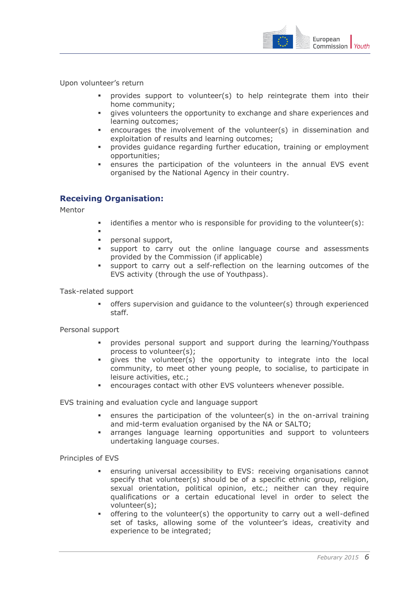

Upon volunteer's return

- provides support to volunteer(s) to help reintegrate them into their home community;
- gives volunteers the opportunity to exchange and share experiences and learning outcomes;
- encourages the involvement of the volunteer(s) in dissemination and exploitation of results and learning outcomes;
- provides guidance regarding further education, training or employment opportunities;
- ensures the participation of the volunteers in the annual EVS event organised by the National Agency in their country.

## <span id="page-5-0"></span>**Receiving Organisation:**

Mentor

- $\blacksquare$  identifies a mentor who is responsible for providing to the volunteer(s):
- ı **personal support,**
- support to carry out the online language course and assessments provided by the Commission (if applicable)
- support to carry out a self-reflection on the learning outcomes of the EVS activity (through the use of Youthpass).

Task-related support

 offers supervision and guidance to the volunteer(s) through experienced staff.

Personal support

- provides personal support and support during the learning/Youthpass process to volunteer(s);
- qives the volunteer(s) the opportunity to integrate into the local community, to meet other young people, to socialise, to participate in leisure activities, etc.;
- encourages contact with other EVS volunteers whenever possible.

EVS training and evaluation cycle and language support

- ensures the participation of the volunteer(s) in the on-arrival training and mid-term evaluation organised by the NA or SALTO;
- arranges language learning opportunities and support to volunteers undertaking language courses.

Principles of EVS

- ensuring universal accessibility to EVS: receiving organisations cannot specify that volunteer(s) should be of a specific ethnic group, religion, sexual orientation, political opinion, etc.; neither can they require qualifications or a certain educational level in order to select the volunteer(s);
- offering to the volunteer(s) the opportunity to carry out a well-defined set of tasks, allowing some of the volunteer's ideas, creativity and experience to be integrated;